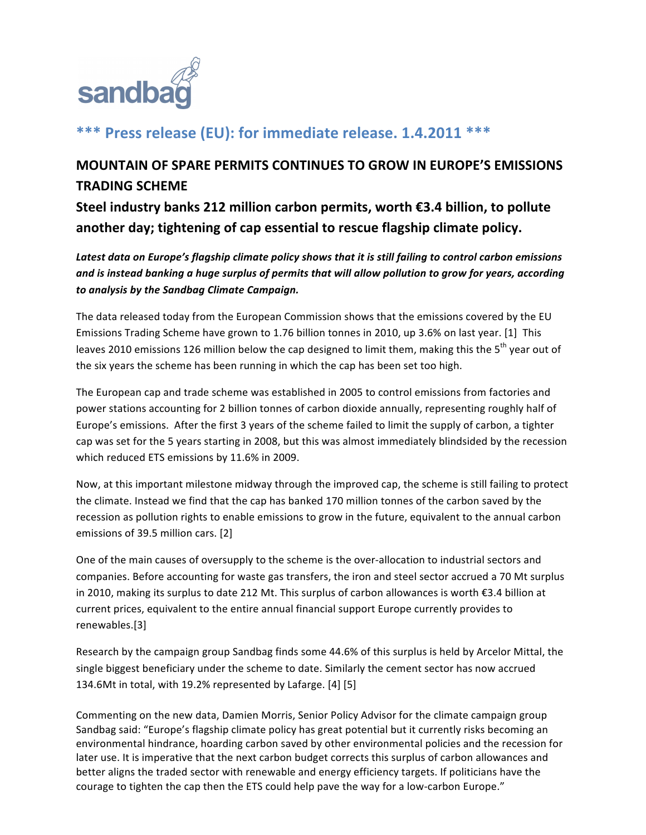

# **\*\*\*** Press release (EU): for immediate release. 1.4.2011 \*\*\*

# **MOUNTAIN OF SPARE PERMITS CONTINUES TO GROW IN EUROPE'S EMISSIONS TRADING SCHEME**

Steel industry banks 212 million carbon permits, worth €3.4 billion, to pollute another day; tightening of cap essential to rescue flagship climate policy.

Latest data on Europe's flagship climate policy shows that it is still failing to control carbon emissions and is instead banking a huge surplus of permits that will allow pollution to grow for years, according *to&analysis&by&the&Sandbag&Climate&Campaign.*

The data released today from the European Commission shows that the emissions covered by the EU Emissions Trading Scheme have grown to 1.76 billion tonnes in 2010, up 3.6% on last year. [1] This leaves 2010 emissions 126 million below the cap designed to limit them, making this the 5<sup>th</sup> year out of the six years the scheme has been running in which the cap has been set too high.

The European cap and trade scheme was established in 2005 to control emissions from factories and power stations accounting for 2 billion tonnes of carbon dioxide annually, representing roughly half of Europe's emissions. After the first 3 years of the scheme failed to limit the supply of carbon, a tighter cap was set for the 5 years starting in 2008, but this was almost immediately blindsided by the recession which reduced ETS emissions by 11.6% in 2009.

Now, at this important milestone midway through the improved cap, the scheme is still failing to protect the climate. Instead we find that the cap has banked 170 million tonnes of the carbon saved by the recession as pollution rights to enable emissions to grow in the future, equivalent to the annual carbon emissions of 39.5 million cars. [2]

One of the main causes of oversupply to the scheme is the over-allocation to industrial sectors and companies. Before accounting for waste gas transfers, the iron and steel sector accrued a 70 Mt surplus in 2010, making its surplus to date 212 Mt. This surplus of carbon allowances is worth €3.4 billion at current prices, equivalent to the entire annual financial support Europe currently provides to renewables.[3]

Research by the campaign group Sandbag finds some 44.6% of this surplus is held by Arcelor Mittal, the single biggest beneficiary under the scheme to date. Similarly the cement sector has now accrued 134.6Mt in total, with 19.2% represented by Lafarge.  $[4]$  [5]

Commenting on the new data, Damien Morris, Senior Policy Advisor for the climate campaign group Sandbag said: "Europe's flagship climate policy has great potential but it currently risks becoming an environmental hindrance, hoarding carbon saved by other environmental policies and the recession for later use. It is imperative that the next carbon budget corrects this surplus of carbon allowances and better aligns the traded sector with renewable and energy efficiency targets. If politicians have the courage to tighten the cap then the ETS could help pave the way for a low-carbon Europe."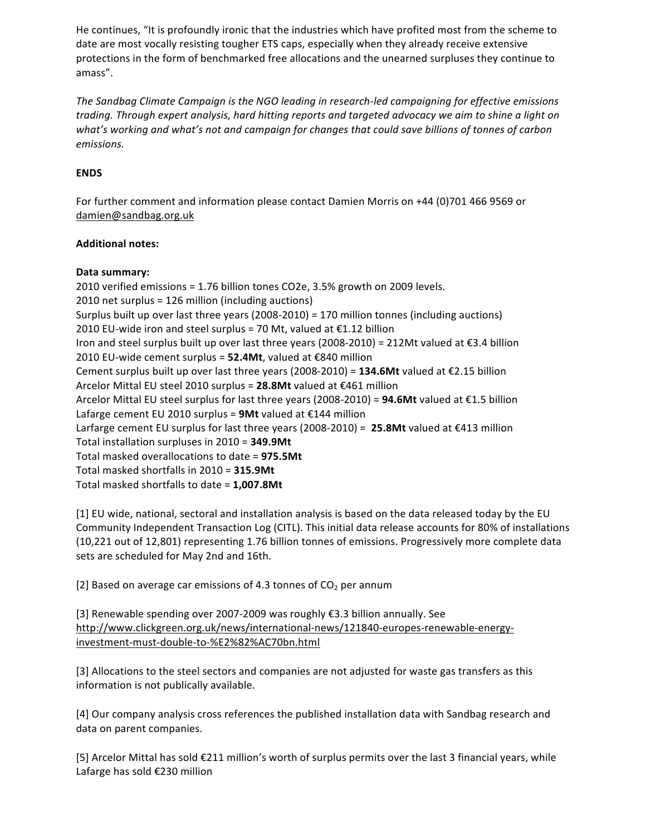He continues, "It is profoundly ironic that the industries which have profited most from the scheme to date are most vocally resisting tougher ETS caps, especially when they already receive extensive protections in the form of benchmarked free allocations and the unearned surpluses they continue to amass".

The Sandbag Climate Campaign is the NGO leading in research-led campaigning for effective emissions trading. Through expert analysis, hard hitting reports and targeted advocacy we aim to shine a light on what's working and what's not and campaign for changes that could save billions of tonnes of carbon emissions.

### **ENDS**

For further comment and information please contact Damien Morris on +44 (0)701 466 9569 or damien@sandbag.org.uk

### **Additional notes:**

#### Data summary:

2010 verified emissions = 1.76 billion tones CO2e, 3.5% growth on 2009 levels. 2010 net surplus = 126 million (including auctions) Surplus built up over last three years (2008-2010) = 170 million tonnes (including auctions) 2010 EU-wide iron and steel surplus = 70 Mt, valued at €1.12 billion Iron and steel surplus built up over last three years (2008-2010) = 212Mt valued at €3.4 billion 2010 EU-wide cement surplus = 52.4Mt, valued at €840 million Cement surplus built up over last three years (2008-2010) = 134.6Mt valued at €2.15 billion Arcelor Mittal EU steel 2010 surplus = 28.8Mt valued at €461 million Arcelor Mittal EU steel surplus for last three years (2008-2010) = 94.6Mt valued at €1.5 billion Lafarge cement EU 2010 surplus = 9Mt valued at  $\epsilon$ 144 million Larfarge cement EU surplus for last three years (2008-2010) = 25.8Mt valued at €413 million Total installation surpluses in 2010 = 349.9Mt Total masked overallocations to date = 975.5Mt Total masked shortfalls in 2010 = 315.9Mt Total masked shortfalls to date = 1,007.8Mt

[1] EU wide, national, sectoral and installation analysis is based on the data released today by the EU Community Independent Transaction Log (CITL). This initial data release accounts for 80% of installations (10,221 out of 12,801) representing 1.76 billion tonnes of emissions. Progressively more complete data sets are scheduled for May 2nd and 16th.

[2] Based on average car emissions of 4.3 tonnes of CO<sub>2</sub> per annum

[3] Renewable spending over 2007-2009 was roughly €3.3 billion annually. See http://www.clickgreen.org.uk/news/international-news/121840-europes-renewable-energyinvestment-must-double-to-%E2%82%AC70bn.html

[3] Allocations to the steel sectors and companies are not adjusted for waste gas transfers as this information is not publically available.

[4] Our company analysis cross references the published installation data with Sandbag research and data on parent companies.

[5] Arcelor Mittal has sold €211 million's worth of surplus permits over the last 3 financial years, while Lafarge has sold €230 million